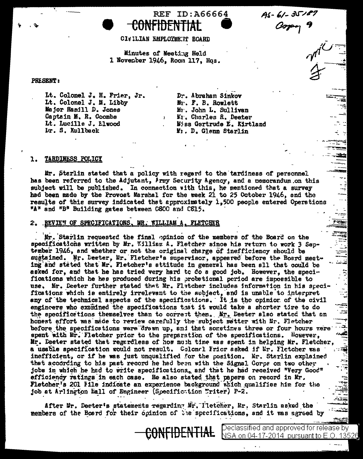$A5 - 61 - 35187$ Copy 9



CI& ILIAN EMPLOYMETT BOARD

REF ID: A66664

Minutes of Meetiug Held 1 November 1946, Room 117, Hqs.

## **PRESENT:**

Lt. Colonel J. H. Frier, Jr. Lt. Colonel J. M. Libby Major Hamill D. Jones Captain M. R. Coombs Lt. Lucille J. Elwood Dr. S. Kullback

Dr. Abraham Sinkov Mr. F. B. Rowlett Mr. John L. Sullivan Mr. Charles R. Deeter Miss Gertrude E. Kirtland M<sub>1</sub>. D. Glenn Starlin

## TARDINESS POLICY ı.

Mr. Sterlin stated that a policy with regard to the tardiness of personnel has been referred to the Adjutant, Army Security Agency, and a nemorandum on this subject will be published. In connection with this, he mentioned that a survey had been made by the Provost Marshal for the week 21 to 25 October 1946, and the results of this survey indicated that approximately 1,500 people entered Operations "A" and "B" Building gates between C8CC and C815.

## 2. REVIEW OF SPECIFICATIONS MR. WILLIAM

Mr. Starlin requested the final poinion of the members of the Board on the specifications written by Mr. William A. Fletcher since his return to work 3 September 1946, and whether or not the original charge of inefficiency should be sugtained. Mr. Deeter, Mr. Fletcher's supervisor, appeared before the Board meeting and stated that Mr. Fletcher's attitude in general has been sll that could be asked for, and that he has tried very hard to do a good job. However, the specifications which he has produced during his probational period are impossible to use. Mr. Deeter further stated that Mr. Fletcher includes information in his specifications which is entirely irrelevant to the subject, and is unable to interpret any of the technical aspects of the specifications. It is the opinion of the civil engincers who examined the specifications that it would take a shorter time to do the specifications themselves than to correct then. Mr. Deeter also stated that an honest effort was made to review carefully the subject metter with Er. Fletcher before the specifications were drawn up, and that sometimes three or four hours were spent with Mr. Fletcher prior to the preparation of the specifications. However, Mr. Deeter stated that regardless of how much time was spent in helping Mr. Fletcher, a usable specification would not result. Colonel Frior asked if Mr. Fletcher was inefficient, or if he was just unqualified for the position. Mr. Starlin explained that according to his past record he had been with the Signal Corps on two other jobs in which he had to write specifications, and that he had received "Very Good" efficiency ratings in each case. He also stated that papers on record in Mr. Fletcher's 201 File indicate an experience background which qualifies him for the job at Arlington Hall of Engineer (Specifiction Writer) P-2.

After Mr. Deeter's statements regarding Mr. Tletcher, Mr. Starlin asked the members of the Board for their opinion of the specifications, and it was agreed by

> Declassified and approved for release by NSA on 04<u>-17-2014\_pursuant to E.O. 13526</u>

 $\sum_{i=1}^{n}$ 

 $\mathcal{L}_{\mathbf{z}}$ 

£≊

Į

F

÷